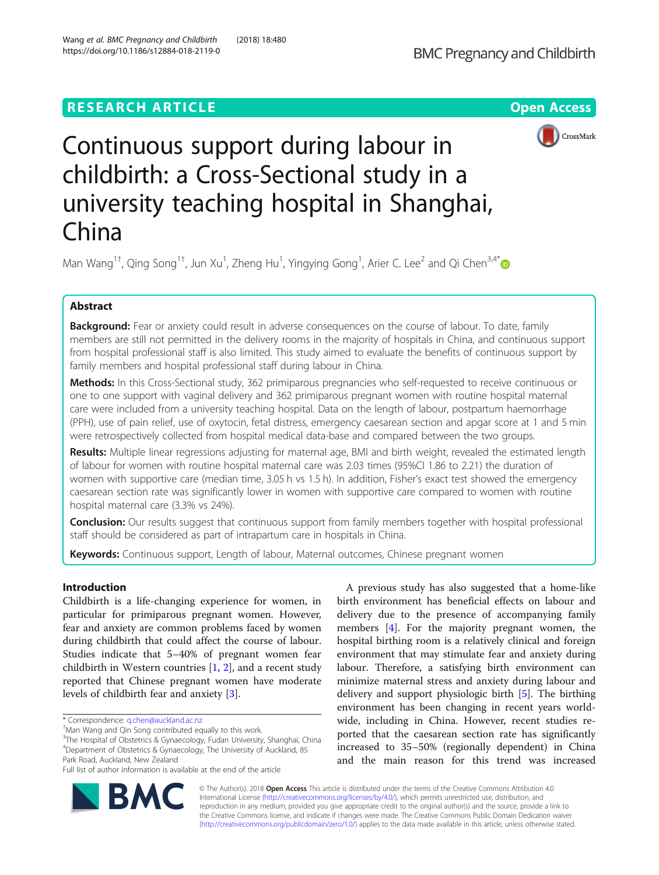# **RESEARCH ARTICLE Example 2014 12:30 The Company Access Open Access**





# Continuous support during labour in childbirth: a Cross-Sectional study in a university teaching hospital in Shanghai, China

Man Wang<sup>1†</sup>, Qing Song<sup>1†</sup>, Jun Xu<sup>1</sup>, Zheng Hu<sup>1</sup>, Yingying Gong<sup>1</sup>, Arier C. Lee<sup>2</sup> and Qi Chen<sup>3,4[\\*](http://orcid.org/0000-0001-5894-6331)</sup>

## Abstract

Background: Fear or anxiety could result in adverse consequences on the course of labour. To date, family members are still not permitted in the delivery rooms in the majority of hospitals in China, and continuous support from hospital professional staff is also limited. This study aimed to evaluate the benefits of continuous support by family members and hospital professional staff during labour in China.

Methods: In this Cross-Sectional study, 362 primiparous pregnancies who self-requested to receive continuous or one to one support with vaginal delivery and 362 primiparous pregnant women with routine hospital maternal care were included from a university teaching hospital. Data on the length of labour, postpartum haemorrhage (PPH), use of pain relief, use of oxytocin, fetal distress, emergency caesarean section and apgar score at 1 and 5 min were retrospectively collected from hospital medical data-base and compared between the two groups.

Results: Multiple linear regressions adjusting for maternal age, BMI and birth weight, revealed the estimated length of labour for women with routine hospital maternal care was 2.03 times (95%CI 1.86 to 2.21) the duration of women with supportive care (median time, 3.05 h vs 1.5 h). In addition, Fisher's exact test showed the emergency caesarean section rate was significantly lower in women with supportive care compared to women with routine hospital maternal care (3.3% vs 24%).

**Conclusion:** Our results suggest that continuous support from family members together with hospital professional staff should be considered as part of intrapartum care in hospitals in China.

Keywords: Continuous support, Length of labour, Maternal outcomes, Chinese pregnant women

### Introduction

Childbirth is a life-changing experience for women, in particular for primiparous pregnant women. However, fear and anxiety are common problems faced by women during childbirth that could affect the course of labour. Studies indicate that 5–40% of pregnant women fear childbirth in Western countries [[1,](#page-5-0) [2\]](#page-5-0), and a recent study reported that Chinese pregnant women have moderate levels of childbirth fear and anxiety [\[3](#page-5-0)].

A previous study has also suggested that a home-like birth environment has beneficial effects on labour and delivery due to the presence of accompanying family members [\[4](#page-5-0)]. For the majority pregnant women, the hospital birthing room is a relatively clinical and foreign environment that may stimulate fear and anxiety during labour. Therefore, a satisfying birth environment can minimize maternal stress and anxiety during labour and delivery and support physiologic birth [[5\]](#page-5-0). The birthing environment has been changing in recent years worldwide, including in China. However, recent studies reported that the caesarean section rate has significantly increased to 35–50% (regionally dependent) in China and the main reason for this trend was increased



© The Author(s). 2018 Open Access This article is distributed under the terms of the Creative Commons Attribution 4.0 International License [\(http://creativecommons.org/licenses/by/4.0/](http://creativecommons.org/licenses/by/4.0/)), which permits unrestricted use, distribution, and reproduction in any medium, provided you give appropriate credit to the original author(s) and the source, provide a link to the Creative Commons license, and indicate if changes were made. The Creative Commons Public Domain Dedication waiver [\(http://creativecommons.org/publicdomain/zero/1.0/](http://creativecommons.org/publicdomain/zero/1.0/)) applies to the data made available in this article, unless otherwise stated.

<sup>\*</sup> Correspondence: [q.chen@auckland.ac.nz](mailto:q.chen@auckland.ac.nz) †

Man Wang and Qin Song contributed equally to this work.

<sup>&</sup>lt;sup>3</sup>The Hospital of Obstetrics & Gynaecology, Fudan University, Shanghai, China 4 Department of Obstetrics & Gynaecology, The University of Auckland, 85 Park Road, Auckland, New Zealand

Full list of author information is available at the end of the article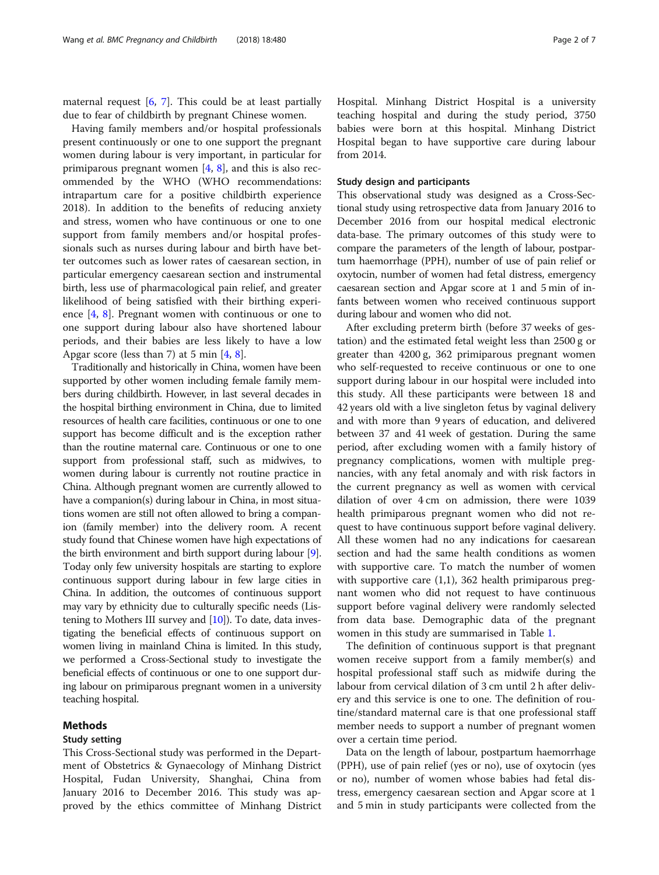maternal request  $[6, 7]$  $[6, 7]$  $[6, 7]$ . This could be at least partially due to fear of childbirth by pregnant Chinese women.

Having family members and/or hospital professionals present continuously or one to one support the pregnant women during labour is very important, in particular for primiparous pregnant women  $[4, 8]$  $[4, 8]$  $[4, 8]$  $[4, 8]$ , and this is also recommended by the WHO (WHO recommendations: intrapartum care for a positive childbirth experience 2018). In addition to the benefits of reducing anxiety and stress, women who have continuous or one to one support from family members and/or hospital professionals such as nurses during labour and birth have better outcomes such as lower rates of caesarean section, in particular emergency caesarean section and instrumental birth, less use of pharmacological pain relief, and greater likelihood of being satisfied with their birthing experience [\[4](#page-5-0), [8\]](#page-5-0). Pregnant women with continuous or one to one support during labour also have shortened labour periods, and their babies are less likely to have a low Apgar score (less than 7) at 5 min  $[4, 8]$  $[4, 8]$  $[4, 8]$  $[4, 8]$ .

Traditionally and historically in China, women have been supported by other women including female family members during childbirth. However, in last several decades in the hospital birthing environment in China, due to limited resources of health care facilities, continuous or one to one support has become difficult and is the exception rather than the routine maternal care. Continuous or one to one support from professional staff, such as midwives, to women during labour is currently not routine practice in China. Although pregnant women are currently allowed to have a companion(s) during labour in China, in most situations women are still not often allowed to bring a companion (family member) into the delivery room. A recent study found that Chinese women have high expectations of the birth environment and birth support during labour [[9](#page-5-0)]. Today only few university hospitals are starting to explore continuous support during labour in few large cities in China. In addition, the outcomes of continuous support may vary by ethnicity due to culturally specific needs (Listening to Mothers III survey and [\[10](#page-5-0)]). To date, data investigating the beneficial effects of continuous support on women living in mainland China is limited. In this study, we performed a Cross-Sectional study to investigate the beneficial effects of continuous or one to one support during labour on primiparous pregnant women in a university teaching hospital.

#### Methods

#### Study setting

This Cross-Sectional study was performed in the Department of Obstetrics & Gynaecology of Minhang District Hospital, Fudan University, Shanghai, China from January 2016 to December 2016. This study was approved by the ethics committee of Minhang District Hospital. Minhang District Hospital is a university teaching hospital and during the study period, 3750 babies were born at this hospital. Minhang District Hospital began to have supportive care during labour from 2014.

#### Study design and participants

This observational study was designed as a Cross-Sectional study using retrospective data from January 2016 to December 2016 from our hospital medical electronic data-base. The primary outcomes of this study were to compare the parameters of the length of labour, postpartum haemorrhage (PPH), number of use of pain relief or oxytocin, number of women had fetal distress, emergency caesarean section and Apgar score at 1 and 5 min of infants between women who received continuous support during labour and women who did not.

After excluding preterm birth (before 37 weeks of gestation) and the estimated fetal weight less than 2500 g or greater than 4200 g, 362 primiparous pregnant women who self-requested to receive continuous or one to one support during labour in our hospital were included into this study. All these participants were between 18 and 42 years old with a live singleton fetus by vaginal delivery and with more than 9 years of education, and delivered between 37 and 41 week of gestation. During the same period, after excluding women with a family history of pregnancy complications, women with multiple pregnancies, with any fetal anomaly and with risk factors in the current pregnancy as well as women with cervical dilation of over 4 cm on admission, there were 1039 health primiparous pregnant women who did not request to have continuous support before vaginal delivery. All these women had no any indications for caesarean section and had the same health conditions as women with supportive care. To match the number of women with supportive care  $(1,1)$ , 362 health primiparous pregnant women who did not request to have continuous support before vaginal delivery were randomly selected from data base. Demographic data of the pregnant women in this study are summarised in Table [1.](#page-2-0)

The definition of continuous support is that pregnant women receive support from a family member(s) and hospital professional staff such as midwife during the labour from cervical dilation of 3 cm until 2 h after delivery and this service is one to one. The definition of routine/standard maternal care is that one professional staff member needs to support a number of pregnant women over a certain time period.

Data on the length of labour, postpartum haemorrhage (PPH), use of pain relief (yes or no), use of oxytocin (yes or no), number of women whose babies had fetal distress, emergency caesarean section and Apgar score at 1 and 5 min in study participants were collected from the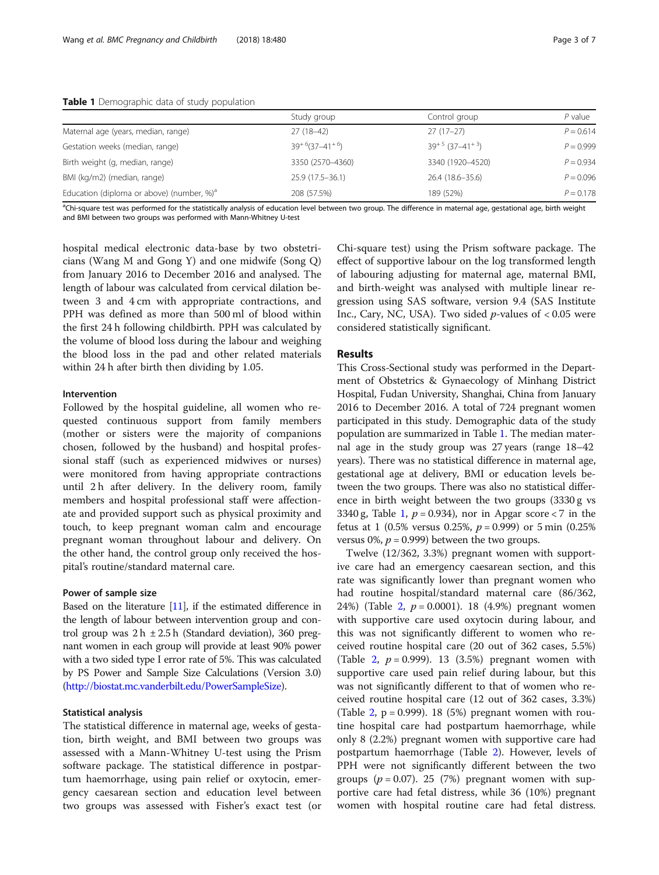|                                                         | Study group           | Control group                    | $P$ value   |  |  |
|---------------------------------------------------------|-----------------------|----------------------------------|-------------|--|--|
| Maternal age (years, median, range)                     | 27 (18–42)            | $27(17-27)$                      | $P = 0.614$ |  |  |
| Gestation weeks (median, range)                         | $39^{+6}(37-41^{+6})$ | $39^{+5}$ (37-41 <sup>+3</sup> ) | $P = 0.999$ |  |  |
| Birth weight (g, median, range)                         | 3350 (2570-4360)      | 3340 (1920-4520)                 | $P = 0.934$ |  |  |
| BMI (kg/m2) (median, range)                             | 25.9 (17.5 - 36.1)    | 26.4 (18.6 - 35.6)               | $P = 0.096$ |  |  |
| Education (diploma or above) (number, $\%$ <sup>a</sup> | 208 (57.5%)           | 189 (52%)                        | $P = 0.178$ |  |  |

<span id="page-2-0"></span>Table 1 Demographic data of study population

<sup>a</sup>Chi-square test was performed for the statistically analysis of education level between two group. The difference in maternal age, gestational age, birth weight and BMI between two groups was performed with Mann-Whitney U-test

hospital medical electronic data-base by two obstetricians (Wang M and Gong Y) and one midwife (Song Q) from January 2016 to December 2016 and analysed. The length of labour was calculated from cervical dilation between 3 and 4 cm with appropriate contractions, and PPH was defined as more than 500 ml of blood within the first 24 h following childbirth. PPH was calculated by the volume of blood loss during the labour and weighing the blood loss in the pad and other related materials within 24 h after birth then dividing by 1.05.

#### Intervention

Followed by the hospital guideline, all women who requested continuous support from family members (mother or sisters were the majority of companions chosen, followed by the husband) and hospital professional staff (such as experienced midwives or nurses) were monitored from having appropriate contractions until 2 h after delivery. In the delivery room, family members and hospital professional staff were affectionate and provided support such as physical proximity and touch, to keep pregnant woman calm and encourage pregnant woman throughout labour and delivery. On the other hand, the control group only received the hospital's routine/standard maternal care.

#### Power of sample size

Based on the literature [\[11](#page-6-0)], if the estimated difference in the length of labour between intervention group and control group was  $2 h \pm 2.5 h$  (Standard deviation), 360 pregnant women in each group will provide at least 90% power with a two sided type I error rate of 5%. This was calculated by PS Power and Sample Size Calculations (Version 3.0) (<http://biostat.mc.vanderbilt.edu/PowerSampleSize>).

#### Statistical analysis

The statistical difference in maternal age, weeks of gestation, birth weight, and BMI between two groups was assessed with a Mann-Whitney U-test using the Prism software package. The statistical difference in postpartum haemorrhage, using pain relief or oxytocin, emergency caesarean section and education level between two groups was assessed with Fisher's exact test (or

Chi-square test) using the Prism software package. The effect of supportive labour on the log transformed length of labouring adjusting for maternal age, maternal BMI, and birth-weight was analysed with multiple linear regression using SAS software, version 9.4 (SAS Institute Inc., Cary, NC, USA). Two sided  $p$ -values of < 0.05 were considered statistically significant.

#### Results

This Cross-Sectional study was performed in the Department of Obstetrics & Gynaecology of Minhang District Hospital, Fudan University, Shanghai, China from January 2016 to December 2016. A total of 724 pregnant women participated in this study. Demographic data of the study population are summarized in Table 1. The median maternal age in the study group was 27 years (range 18–42 years). There was no statistical difference in maternal age, gestational age at delivery, BMI or education levels between the two groups. There was also no statistical difference in birth weight between the two groups (3330 g vs 3340 g, Table 1,  $p = 0.934$ ), nor in Apgar score < 7 in the fetus at 1 (0.5% versus 0.25%,  $p = 0.999$ ) or 5 min (0.25%) versus 0%,  $p = 0.999$ ) between the two groups.

Twelve (12/362, 3.3%) pregnant women with supportive care had an emergency caesarean section, and this rate was significantly lower than pregnant women who had routine hospital/standard maternal care (86/362, [2](#page-3-0)4%) (Table 2,  $p = 0.0001$ ). 18 (4.9%) pregnant women with supportive care used oxytocin during labour, and this was not significantly different to women who received routine hospital care (20 out of 362 cases, 5.5%) (Table [2,](#page-3-0)  $p = 0.999$ ). 13 (3.5%) pregnant women with supportive care used pain relief during labour, but this was not significantly different to that of women who received routine hospital care (12 out of 362 cases, 3.3%) (Table [2,](#page-3-0)  $p = 0.999$ ). 18 (5%) pregnant women with routine hospital care had postpartum haemorrhage, while only 8 (2.2%) pregnant women with supportive care had postpartum haemorrhage (Table [2](#page-3-0)). However, levels of PPH were not significantly different between the two groups ( $p = 0.07$ ). 25 (7%) pregnant women with supportive care had fetal distress, while 36 (10%) pregnant women with hospital routine care had fetal distress.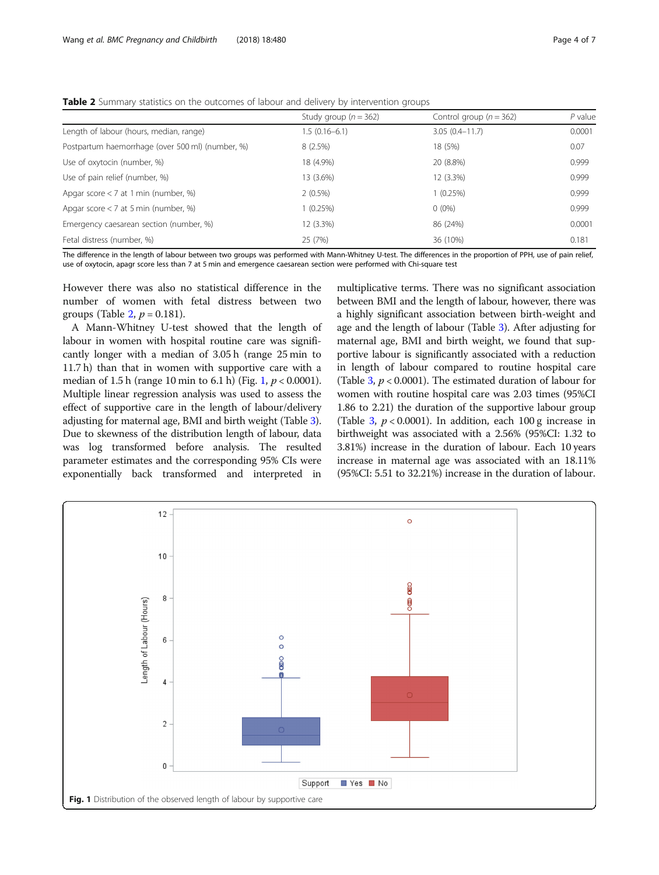<span id="page-3-0"></span>

| Table 2 Summary statistics on the outcomes of labour and delivery by intervention groups |  |  |  |
|------------------------------------------------------------------------------------------|--|--|--|
|------------------------------------------------------------------------------------------|--|--|--|

|                                                  | Study group ( $n = 362$ ) | Control group ( $n = 362$ ) | $P$ value |  |
|--------------------------------------------------|---------------------------|-----------------------------|-----------|--|
| Length of labour (hours, median, range)          | $1.5(0.16-6.1)$           | $3.05(0.4 - 11.7)$          | 0.0001    |  |
| Postpartum haemorrhage (over 500 ml) (number, %) | $8(2.5\%)$                | 18 (5%)                     | 0.07      |  |
| Use of oxytocin (number, %)                      | 18 (4.9%)                 | 20 (8.8%)                   | 0.999     |  |
| Use of pain relief (number, %)                   | 13 (3.6%)                 | 12 (3.3%)                   | 0.999     |  |
| Apgar score $<$ 7 at 1 min (number, %)           | $2(0.5\%)$                | 1(0.25%)                    | 0.999     |  |
| Apgar score $<$ 7 at 5 min (number, %)           | (0.25%)                   | $0(0\%)$                    | 0.999     |  |
| Emergency caesarean section (number, %)          | 12 (3.3%)                 | 86 (24%)                    | 0.0001    |  |
| Fetal distress (number, %)                       | 25 (7%)                   | 36 (10%)                    | 0.181     |  |

The difference in the length of labour between two groups was performed with Mann-Whitney U-test. The differences in the proportion of PPH, use of pain relief, use of oxytocin, apagr score less than 7 at 5 min and emergence caesarean section were performed with Chi-square test

However there was also no statistical difference in the number of women with fetal distress between two groups (Table 2,  $p = 0.181$ ).

A Mann-Whitney U-test showed that the length of labour in women with hospital routine care was significantly longer with a median of 3.05 h (range 25 min to 11.7 h) than that in women with supportive care with a median of 1.5 h (range 10 min to 6.1 h) (Fig. 1,  $p < 0.0001$ ). Multiple linear regression analysis was used to assess the effect of supportive care in the length of labour/delivery adjusting for maternal age, BMI and birth weight (Table [3](#page-4-0)). Due to skewness of the distribution length of labour, data was log transformed before analysis. The resulted parameter estimates and the corresponding 95% CIs were exponentially back transformed and interpreted in

multiplicative terms. There was no significant association between BMI and the length of labour, however, there was a highly significant association between birth-weight and age and the length of labour (Table [3\)](#page-4-0). After adjusting for maternal age, BMI and birth weight, we found that supportive labour is significantly associated with a reduction in length of labour compared to routine hospital care (Table [3](#page-4-0),  $p < 0.0001$ ). The estimated duration of labour for women with routine hospital care was 2.03 times (95%CI 1.86 to 2.21) the duration of the supportive labour group (Table [3,](#page-4-0)  $p < 0.0001$ ). In addition, each 100 g increase in birthweight was associated with a 2.56% (95%CI: 1.32 to 3.81%) increase in the duration of labour. Each 10 years increase in maternal age was associated with an 18.11% (95%CI: 5.51 to 32.21%) increase in the duration of labour.

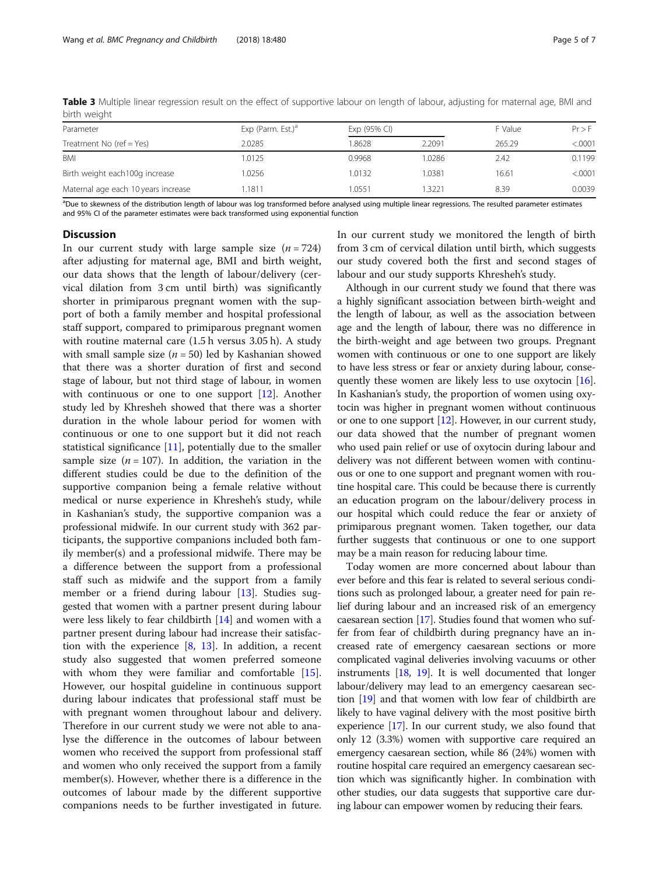| birth weight                   |                               |                 |        |         |          |  |  |  |
|--------------------------------|-------------------------------|-----------------|--------|---------|----------|--|--|--|
| Parameter                      | Exp (Parm. Est.) <sup>a</sup> | Exp $(95\%$ CI) |        | F Value | $Pr$ > F |  |  |  |
| Treatment No (ref $=$ Yes)     | 2.0285                        | .8628           | 2.2091 | 265.29  | < .0001  |  |  |  |
| BMI                            | 1.0125                        | 0.9968          | 1.0286 | 2.42    | 0.1199   |  |  |  |
| Birth weight each100g increase | .0256                         | .0132           | 1.0381 | 16.61   | < .0001  |  |  |  |

<span id="page-4-0"></span>Table 3 Multiple linear regression result on the effect of supportive labour on length of labour, adjusting for maternal age, BMI and birth weight

Maternal age each 10 years increase 1.1811 1.0551 1.3221 8.39 0.0039 a<br>Pue to skewness of the distribution length of labour was log transformed before analysed using multiple linear regressions. The resulted parameter estimates and 95% CI of the parameter estimates were back transformed using exponential function

#### **Discussion**

In our current study with large sample size  $(n = 724)$ after adjusting for maternal age, BMI and birth weight, our data shows that the length of labour/delivery (cervical dilation from 3 cm until birth) was significantly shorter in primiparous pregnant women with the support of both a family member and hospital professional staff support, compared to primiparous pregnant women with routine maternal care (1.5 h versus 3.05 h). A study with small sample size  $(n = 50)$  led by Kashanian showed that there was a shorter duration of first and second stage of labour, but not third stage of labour, in women with continuous or one to one support  $[12]$  $[12]$ . Another study led by Khresheh showed that there was a shorter duration in the whole labour period for women with continuous or one to one support but it did not reach statistical significance [\[11](#page-6-0)], potentially due to the smaller sample size  $(n = 107)$ . In addition, the variation in the different studies could be due to the definition of the supportive companion being a female relative without medical or nurse experience in Khresheh's study, while in Kashanian's study, the supportive companion was a professional midwife. In our current study with 362 participants, the supportive companions included both family member(s) and a professional midwife. There may be a difference between the support from a professional staff such as midwife and the support from a family member or a friend during labour [\[13](#page-6-0)]. Studies suggested that women with a partner present during labour were less likely to fear childbirth [[14](#page-6-0)] and women with a partner present during labour had increase their satisfaction with the experience [[8,](#page-5-0) [13\]](#page-6-0). In addition, a recent study also suggested that women preferred someone with whom they were familiar and comfortable [\[15](#page-6-0)]. However, our hospital guideline in continuous support during labour indicates that professional staff must be with pregnant women throughout labour and delivery. Therefore in our current study we were not able to analyse the difference in the outcomes of labour between women who received the support from professional staff and women who only received the support from a family member(s). However, whether there is a difference in the outcomes of labour made by the different supportive companions needs to be further investigated in future.

In our current study we monitored the length of birth from 3 cm of cervical dilation until birth, which suggests our study covered both the first and second stages of labour and our study supports Khresheh's study.

Although in our current study we found that there was a highly significant association between birth-weight and the length of labour, as well as the association between age and the length of labour, there was no difference in the birth-weight and age between two groups. Pregnant women with continuous or one to one support are likely to have less stress or fear or anxiety during labour, conse-quently these women are likely less to use oxytocin [[16](#page-6-0)]. In Kashanian's study, the proportion of women using oxytocin was higher in pregnant women without continuous or one to one support [\[12\]](#page-6-0). However, in our current study, our data showed that the number of pregnant women who used pain relief or use of oxytocin during labour and delivery was not different between women with continuous or one to one support and pregnant women with routine hospital care. This could be because there is currently an education program on the labour/delivery process in our hospital which could reduce the fear or anxiety of primiparous pregnant women. Taken together, our data further suggests that continuous or one to one support may be a main reason for reducing labour time.

Today women are more concerned about labour than ever before and this fear is related to several serious conditions such as prolonged labour, a greater need for pain relief during labour and an increased risk of an emergency caesarean section [\[17\]](#page-6-0). Studies found that women who suffer from fear of childbirth during pregnancy have an increased rate of emergency caesarean sections or more complicated vaginal deliveries involving vacuums or other instruments [\[18,](#page-6-0) [19](#page-6-0)]. It is well documented that longer labour/delivery may lead to an emergency caesarean section [\[19\]](#page-6-0) and that women with low fear of childbirth are likely to have vaginal delivery with the most positive birth experience [\[17](#page-6-0)]. In our current study, we also found that only 12 (3.3%) women with supportive care required an emergency caesarean section, while 86 (24%) women with routine hospital care required an emergency caesarean section which was significantly higher. In combination with other studies, our data suggests that supportive care during labour can empower women by reducing their fears.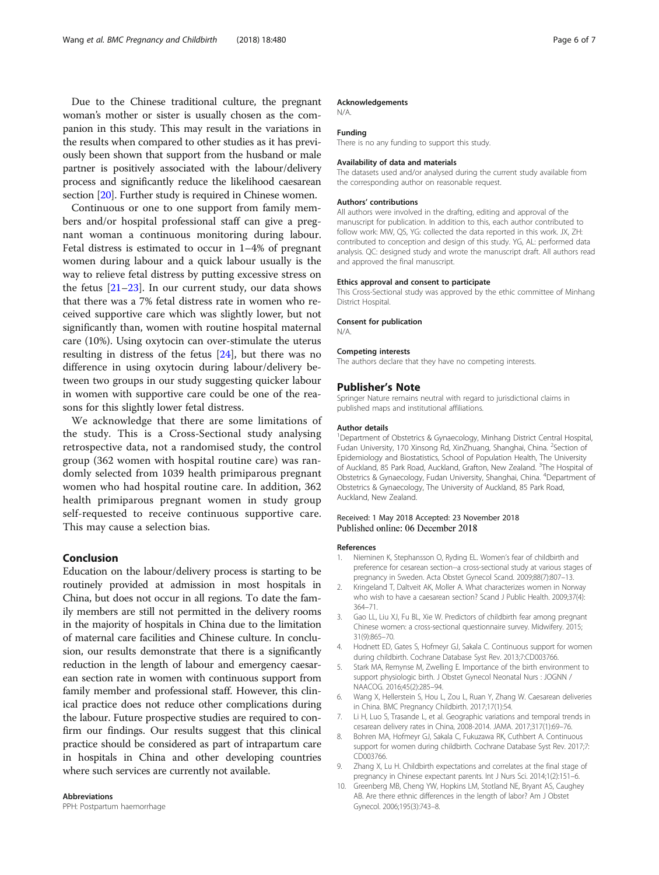<span id="page-5-0"></span>Due to the Chinese traditional culture, the pregnant woman's mother or sister is usually chosen as the companion in this study. This may result in the variations in the results when compared to other studies as it has previously been shown that support from the husband or male partner is positively associated with the labour/delivery process and significantly reduce the likelihood caesarean section [[20](#page-6-0)]. Further study is required in Chinese women.

Continuous or one to one support from family members and/or hospital professional staff can give a pregnant woman a continuous monitoring during labour. Fetal distress is estimated to occur in 1–4% of pregnant women during labour and a quick labour usually is the way to relieve fetal distress by putting excessive stress on the fetus  $[21-23]$  $[21-23]$  $[21-23]$  $[21-23]$  $[21-23]$ . In our current study, our data shows that there was a 7% fetal distress rate in women who received supportive care which was slightly lower, but not significantly than, women with routine hospital maternal care (10%). Using oxytocin can over-stimulate the uterus resulting in distress of the fetus [[24\]](#page-6-0), but there was no difference in using oxytocin during labour/delivery between two groups in our study suggesting quicker labour in women with supportive care could be one of the reasons for this slightly lower fetal distress.

We acknowledge that there are some limitations of the study. This is a Cross-Sectional study analysing retrospective data, not a randomised study, the control group (362 women with hospital routine care) was randomly selected from 1039 health primiparous pregnant women who had hospital routine care. In addition, 362 health primiparous pregnant women in study group self-requested to receive continuous supportive care. This may cause a selection bias.

#### Conclusion

Education on the labour/delivery process is starting to be routinely provided at admission in most hospitals in China, but does not occur in all regions. To date the family members are still not permitted in the delivery rooms in the majority of hospitals in China due to the limitation of maternal care facilities and Chinese culture. In conclusion, our results demonstrate that there is a significantly reduction in the length of labour and emergency caesarean section rate in women with continuous support from family member and professional staff. However, this clinical practice does not reduce other complications during the labour. Future prospective studies are required to confirm our findings. Our results suggest that this clinical practice should be considered as part of intrapartum care in hospitals in China and other developing countries where such services are currently not available.

#### Abbreviations PPH: Postpartum haemorrhage

#### Acknowledgements

N/A.

#### Funding

There is no any funding to support this study.

#### Availability of data and materials

The datasets used and/or analysed during the current study available from the corresponding author on reasonable request.

#### Authors' contributions

All authors were involved in the drafting, editing and approval of the manuscript for publication. In addition to this, each author contributed to follow work: MW, QS, YG: collected the data reported in this work. JX, ZH: contributed to conception and design of this study. YG, AL: performed data analysis. QC: designed study and wrote the manuscript draft. All authors read and approved the final manuscript.

#### Ethics approval and consent to participate

This Cross-Sectional study was approved by the ethic committee of Minhang District Hospital.

#### Consent for publication

N/A.

#### Competing interests

The authors declare that they have no competing interests.

#### Publisher's Note

Springer Nature remains neutral with regard to jurisdictional claims in published maps and institutional affiliations.

#### Author details

<sup>1</sup>Department of Obstetrics & Gynaecology, Minhang District Central Hospital Fudan University, 170 Xinsong Rd, XinZhuang, Shanghai, China. <sup>2</sup>Section of Epidemiology and Biostatistics, School of Population Health, The University of Auckland, 85 Park Road, Auckland, Grafton, New Zealand. <sup>3</sup>The Hospital of Obstetrics & Gynaecology, Fudan University, Shanghai, China. <sup>4</sup>Department of Obstetrics & Gynaecology, The University of Auckland, 85 Park Road, Auckland, New Zealand.

#### Received: 1 May 2018 Accepted: 23 November 2018 Published online: 06 December 2018

#### References

- 1. Nieminen K, Stephansson O, Ryding EL. Women's fear of childbirth and preference for cesarean section--a cross-sectional study at various stages of pregnancy in Sweden. Acta Obstet Gynecol Scand. 2009;88(7):807–13.
- 2. Kringeland T, Daltveit AK, Moller A. What characterizes women in Norway who wish to have a caesarean section? Scand J Public Health. 2009;37(4): 364–71.
- 3. Gao LL, Liu XJ, Fu BL, Xie W. Predictors of childbirth fear among pregnant Chinese women: a cross-sectional questionnaire survey. Midwifery. 2015; 31(9):865–70.
- 4. Hodnett ED, Gates S, Hofmeyr GJ, Sakala C. Continuous support for women during childbirth. Cochrane Database Syst Rev. 2013;7:CD003766.
- 5. Stark MA, Remynse M, Zwelling E. Importance of the birth environment to support physiologic birth. J Obstet Gynecol Neonatal Nurs : JOGNN / NAACOG. 2016;45(2):285–94.
- 6. Wang X, Hellerstein S, Hou L, Zou L, Ruan Y, Zhang W. Caesarean deliveries in China. BMC Pregnancy Childbirth. 2017;17(1):54.
- 7. Li H, Luo S, Trasande L, et al. Geographic variations and temporal trends in cesarean delivery rates in China, 2008-2014. JAMA. 2017;317(1):69–76.
- 8. Bohren MA, Hofmeyr GJ, Sakala C, Fukuzawa RK, Cuthbert A. Continuous support for women during childbirth. Cochrane Database Syst Rev. 2017;7: CD003766.
- 9. Zhang X, Lu H. Childbirth expectations and correlates at the final stage of pregnancy in Chinese expectant parents. Int J Nurs Sci. 2014;1(2):151–6.
- 10. Greenberg MB, Cheng YW, Hopkins LM, Stotland NE, Bryant AS, Caughey AB. Are there ethnic differences in the length of labor? Am J Obstet Gynecol. 2006;195(3):743–8.